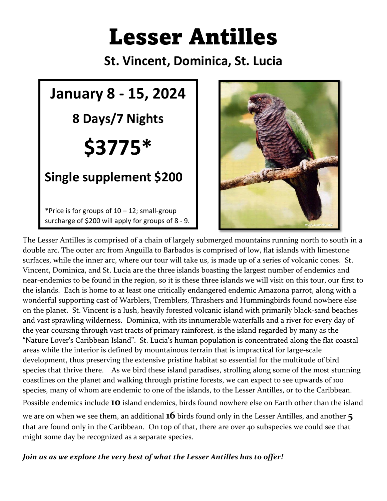# Lesser Antilles

**St. Vincent, Dominica, St. Lucia**





The Lesser Antilles is comprised of a chain of largely submerged mountains running north to south in a double arc. The outer arc from Anguilla to Barbados is comprised of low, flat islands with limestone surfaces, while the inner arc, where our tour will take us, is made up of a series of volcanic cones. St. Vincent, Dominica, and St. Lucia are the three islands boasting the largest number of endemics and near-endemics to be found in the region, so it is these three islands we will visit on this tour, our first to the islands. Each is home to at least one critically endangered endemic Amazona parrot, along with a wonderful supporting cast of Warblers, Tremblers, Thrashers and Hummingbirds found nowhere else on the planet. St. Vincent is a lush, heavily forested volcanic island with primarily black-sand beaches and vast sprawling wilderness. Dominica, with its innumerable waterfalls and a river for every day of the year coursing through vast tracts of primary rainforest, is the island regarded by many as the "Nature Lover's Caribbean Island". St. Lucia's human population is concentrated along the flat coastal areas while the interior is defined by mountainous terrain that is impractical for large-scale development, thus preserving the extensive pristine habitat so essential for the multitude of bird species that thrive there. As we bird these island paradises, strolling along some of the most stunning coastlines on the planet and walking through pristine forests, we can expect to see upwards of 100 species, many of whom are endemic to one of the islands, to the Lesser Antilles, or to the Caribbean. Possible endemics include **10** island endemics, birds found nowhere else on Earth other than the island we are on when we see them, an additional **16** birds found only in the Lesser Antilles, and another **5** that are found only in the Caribbean. On top of that, there are over 40 subspecies we could see that might some day be recognized as a separate species.

*Join us as we explore the very best of what the Lesser Antilles has to offer!*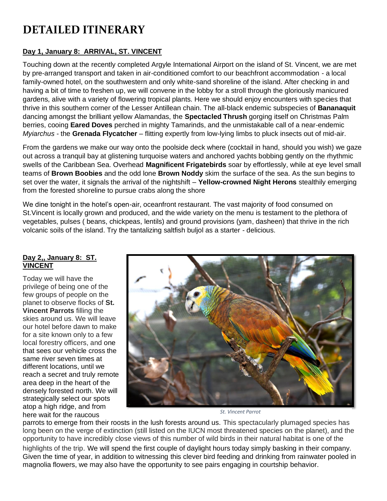## **DETAILED ITINERARY**

#### **Day 1, January 8: ARRIVAL, ST. VINCENT**

Touching down at the recently completed Argyle International Airport on the island of St. Vincent, we are met by pre-arranged transport and taken in air-conditioned comfort to our beachfront accommodation - a local family-owned hotel, on the southwestern and only white-sand shoreline of the island. After checking in and having a bit of time to freshen up, we will convene in the lobby for a stroll through the gloriously manicured gardens, alive with a variety of flowering tropical plants. Here we should enjoy encounters with species that thrive in this southern corner of the Lesser Antillean chain. The all-black endemic subspecies of **Bananaquit**  dancing amongst the brilliant yellow Alamandas, the **Spectacled Thrush** gorging itself on Christmas Palm berries, cooing **Eared Doves** perched in mighty Tamarinds, and the unmistakable call of a near-endemic *Myiarchus* - the **Grenada Flycatcher** – flitting expertly from low-lying limbs to pluck insects out of mid-air.

From the gardens we make our way onto the poolside deck where (cocktail in hand, should you wish) we gaze out across a tranquil bay at glistening turquoise waters and anchored yachts bobbing gently on the rhythmic swells of the Caribbean Sea. Overhead **Magnificent Frigatebirds** soar by effortlessly, while at eye level small teams of **Brown Boobies** and the odd lone **Brown Noddy** skim the surface of the sea. As the sun begins to set over the water, it signals the arrival of the nightshift – **Yellow-crowned Night Herons** stealthily emerging from the forested shoreline to pursue crabs along the shore

We dine tonight in the hotel's open-air, oceanfront restaurant. The vast majority of food consumed on St.Vincent is locally grown and produced, and the wide variety on the menu is testament to the plethora of vegetables, pulses ( beans, chickpeas, lentils) and ground provisions (yam, dasheen) that thrive in the rich volcanic soils of the island. Try the tantalizing saltfish buljol as a starter - delicious.

#### **Day 2,, January 8: ST. VINCENT**

Today we will have the privilege of being one of the few groups of people on the planet to observe flocks of **St. Vincent Parrots** filling the skies around us. We will leave our hotel before dawn to make for a site known only to a few local forestry officers, and one that sees our vehicle cross the same river seven times at different locations, until we reach a secret and truly remote area deep in the heart of the densely forested north. We will strategically select our spots atop a high ridge, and from here wait for the raucous



*St. Vincent Parrot*

parrots to emerge from their roosts in the lush forests around us. This spectacularly plumaged species has long been on the verge of extinction (still listed on the IUCN most threatened species on the planet), and the opportunity to have incredibly close views of this number of wild birds in their natural habitat is one of the highlights of the trip. We will spend the first couple of daylight hours today simply basking in their company. Given the time of year, in addition to witnessing this clever bird feeding and drinking from rainwater pooled in magnolia flowers, we may also have the opportunity to see pairs engaging in courtship behavior.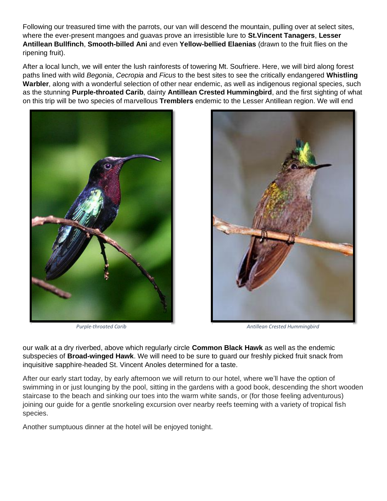Following our treasured time with the parrots, our van will descend the mountain, pulling over at select sites, where the ever-present mangoes and guavas prove an irresistible lure to **St.Vincent Tanagers**, **Lesser Antillean Bullfinch**, **Smooth-billed Ani** and even **Yellow-bellied Elaenias** (drawn to the fruit flies on the ripening fruit).

After a local lunch, we will enter the lush rainforests of towering Mt. Soufriere. Here, we will bird along forest paths lined with wild *Begonia*, *Cecropia* and *Ficus* to the best sites to see the critically endangered **Whistling Warbler**, along with a wonderful selection of other near endemic, as well as indigenous regional species, such as the stunning **Purple-throated Carib**, dainty **Antillean Crested Hummingbird**, and the first sighting of what on this trip will be two species of marvellous **Tremblers** endemic to the Lesser Antillean region. We will end





*Purple-throated Carib Antillean Crested Hummingbird*

our walk at a dry riverbed, above which regularly circle **Common Black Hawk** as well as the endemic subspecies of **Broad-winged Hawk**. We will need to be sure to guard our freshly picked fruit snack from inquisitive sapphire-headed St. Vincent Anoles determined for a taste.

After our early start today, by early afternoon we will return to our hotel, where we'll have the option of swimming in or just lounging by the pool, sitting in the gardens with a good book, descending the short wooden staircase to the beach and sinking our toes into the warm white sands, or (for those feeling adventurous) joining our guide for a gentle snorkeling excursion over nearby reefs teeming with a variety of tropical fish species.

Another sumptuous dinner at the hotel will be enjoyed tonight.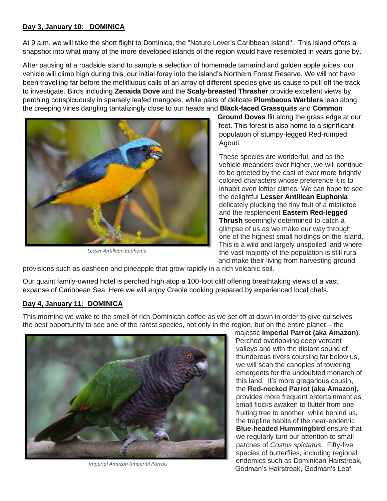#### **Day 3, January 10: DOMINICA**

At 9 a.m. we will take the short flight to Dominica, the "Nature Lover's Caribbean Island". This island offers a snapshot into what many of the more developed islands of the region would have resembled in years gone by.

After pausing at a roadside stand to sample a selection of homemade tamarind and golden apple juices, our vehicle will climb high during this, our initial foray into the island's Northern Forest Reserve. We will not have been travelling far before the mellifluous calls of an array of different species give us cause to pull off the track to investigate. Birds including **Zenaida Dove** and the **Scaly-breasted Thrasher** provide excellent views by perching conspicuously in sparsely leafed mangoes, while pairs of delicate **Plumbeous Warblers** leap along the creeping vines dangling tantalizingly close to our heads and **Black-faced Grassquits** and **Common** 



*Lesser Antillean Euphonia*

**Ground Doves** flit along the grass edge at our feet. This forest is also home to a significant population of stumpy-legged Red-rumped Agouti.

These species are wonderful, and as the vehicle meanders ever higher, we will continue to be greeted by the cast of ever more brightly colored characters whose preference it is to inhabit even loftier climes. We can hope to see the delightful **Lesser Antillean Euphonia** delicately plucking the tiny fruit of a mistletoe and the resplendent **Eastern Red-legged Thrush** seemingly determined to catch a glimpse of us as we make our way through one of the highest small holdings on the island. This is a wild and largely unspoiled land where the vast majority of the population is still rural and make their living from harvesting ground

provisions such as dasheen and pineapple that grow rapidly in a rich volcanic soil.

Our quaint family-owned hotel is perched high atop a 100-foot cliff offering breathtaking views of a vast expanse of Caribbean Sea. Here we will enjoy Creole cooking prepared by experienced local chefs.

#### **Day 4, January 11: DOMINICA**

This morning we wake to the smell of rich Dominican coffee as we set off at dawn in order to give ourselves the best opportunity to see one of the rarest species, not only in the region, but on the entire planet – the



*Imperial Amazon (Imperial Parrot)*

majestic **Imperial Parrot (aka Amazon)**. Perched overlooking deep verdant valleys and with the distant sound of thunderous rivers coursing far below us, we will scan the canopies of towering emergents for the undoubted monarch of this land. It's more gregarious cousin, the **Red-necked Parrot (aka Amazon),** provides more frequent entertainment as small flocks awaken to flutter from one fruiting tree to another, while behind us, the trapline habits of the near-endemic **Blue-headed Hummingbird** ensure that we regularly turn our attention to small patches of *Costus spictatus*. Fifty-five species of butterflies, including regional endemics such as Dominican Hairstreak, Godman's Hairstreak, Godman's Leaf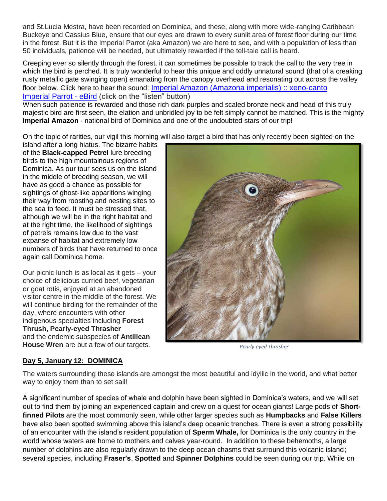and St.Lucia Mestra, have been recorded on Dominica, and these, along with more wide-ranging Caribbean Buckeye and Cassius Blue, ensure that our eyes are drawn to every sunlit area of forest floor during our time in the forest. But it is the Imperial Parrot (aka Amazon) we are here to see, and with a population of less than 50 individuals, patience will be needed, but ultimately rewarded if the tell-tale call is heard.

Creeping ever so silently through the forest, it can sometimes be possible to track the call to the very tree in which the bird is perched. It is truly wonderful to hear this unique and oddly unnatural sound (that of a creaking rusty metallic gate swinging open) emanating from the canopy overhead and resonating out across the valley floor below. Click here to hear the sound: [Imperial Amazon \(Amazona imperialis\) :: xeno-canto](https://xeno-canto.org/species/Amazona-imperialis) [Imperial Parrot -](https://ebird.org/species/imppar1) eBird (click on the "listen" button)

When such patience is rewarded and those rich dark purples and scaled bronze neck and head of this truly majestic bird are first seen, the elation and unbridled joy to be felt simply cannot be matched. This is the mighty **Imperial Amazon** - national bird of Dominica and one of the undoubted stars of our trip!

On the topic of rarities, our vigil this morning will also target a bird that has only recently been sighted on the

island after a long hiatus. The bizarre habits of the **Black-capped Petrel** lure breeding birds to the high mountainous regions of Dominica. As our tour sees us on the island in the middle of breeding season, we will have as good a chance as possible for sightings of ghost-like apparitions winging their way from roosting and nesting sites to the sea to feed. It must be stressed that, although we will be in the right habitat and at the right time, the likelihood of sightings of petrels remains low due to the vast expanse of habitat and extremely low numbers of birds that have returned to once again call Dominica home.

Our picnic lunch is as local as it gets – your choice of delicious curried beef, vegetarian or goat rotis, enjoyed at an abandoned visitor centre in the middle of the forest. We will continue birding for the remainder of the day, where encounters with other indigenous specialties including **Forest Thrush, Pearly-eyed Thrasher** and the endemic subspecies of **Antillean House Wren** are but a few of our targets.



*Pearly-eyed Thrasher*

#### **Day 5, January 12: DOMINICA**

The waters surrounding these islands are amongst the most beautiful and idyllic in the world, and what better way to enjoy them than to set sail!

A significant number of species of whale and dolphin have been sighted in Dominica's waters, and we will set out to find them by joining an experienced captain and crew on a quest for ocean giants! Large pods of **Shortfinned Pilots** are the most commonly seen, while other larger species such as **Humpbacks** and **False Killers** have also been spotted swimming above this island's deep oceanic trenches. There is even a strong possibility of an encounter with the island's resident population of **Sperm Whale,** for Dominica is the only country in the world whose waters are home to mothers and calves year-round. In addition to these behemoths, a large number of dolphins are also regularly drawn to the deep ocean chasms that surround this volcanic island; several species, including **Fraser's**, **Spotted** and **Spinner Dolphins** could be seen during our trip. While on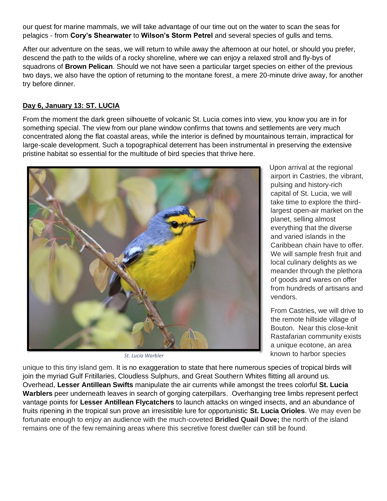our quest for marine mammals, we will take advantage of our time out on the water to scan the seas for pelagics - from **Cory's Shearwater** to **Wilson's Storm Petrel** and several species of gulls and terns.

After our adventure on the seas, we will return to while away the afternoon at our hotel, or should you prefer, descend the path to the wilds of a rocky shoreline, where we can enjoy a relaxed stroll and fly-bys of squadrons of **Brown Pelican**. Should we not have seen a particular target species on either of the previous two days, we also have the option of returning to the montane forest, a mere 20-minute drive away, for another try before dinner.

#### **Day 6, January 13: ST. LUCIA**

From the moment the dark green silhouette of volcanic St. Lucia comes into view, you know you are in for something special. The view from our plane window confirms that towns and settlements are very much concentrated along the flat coastal areas, while the interior is defined by mountainous terrain, impractical for large-scale development. Such a topographical deterrent has been instrumental in preserving the extensive pristine habitat so essential for the multitude of bird species that thrive here.



*St. Lucia Warbler*

Upon arrival at the regional airport in Castries, the vibrant, pulsing and history-rich capital of St. Lucia, we will take time to explore the thirdlargest open-air market on the planet, selling almost everything that the diverse and varied islands in the Caribbean chain have to offer. We will sample fresh fruit and local culinary delights as we meander through the plethora of goods and wares on offer from hundreds of artisans and vendors.

From Castries, we will drive to the remote hillside village of Bouton. Near this close-knit Rastafarian community exists a unique ecotone, an area known to harbor species

unique to this tiny island gem. It is no exaggeration to state that here numerous species of tropical birds will join the myriad Gulf Fritillaries, Cloudless Sulphurs, and Great Southern Whites flitting all around us. Overhead, **Lesser Antillean Swifts** manipulate the air currents while amongst the trees colorful **St. Lucia Warblers** peer underneath leaves in search of gorging caterpillars. Overhanging tree limbs represent perfect vantage points for **Lesser Antillean Flycatchers** to launch attacks on winged insects, and an abundance of fruits ripening in the tropical sun prove an irresistible lure for opportunistic **St. Lucia Orioles**. We may even be fortunate enough to enjoy an audience with the much-coveted **Bridled Quail Dove;** the north of the island remains one of the few remaining areas where this secretive forest dweller can still be found.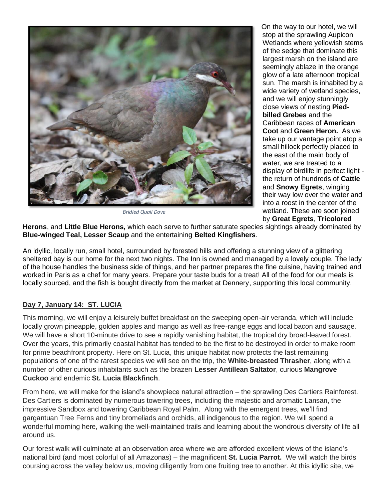

*Bridled Quail Dove*

On the way to our hotel, we will stop at the sprawling Aupicon Wetlands where yellowish stems of the sedge that dominate this largest marsh on the island are seemingly ablaze in the orange glow of a late afternoon tropical sun. The marsh is inhabited by a wide variety of wetland species, and we will enjoy stunningly close views of nesting **Piedbilled Grebes** and the Caribbean races of **American Coot** and **Green Heron.** As we take up our vantage point atop a small hillock perfectly placed to the east of the main body of water, we are treated to a display of birdlife in perfect light the return of hundreds of **Cattle**  and **Snowy Egrets**, winging their way low over the water and into a roost in the center of the wetland. These are soon joined by **Great Egrets**, **Tricolored** 

**Herons**, and **Little Blue Herons,** which each serve to further saturate species sightings already dominated by **Blue-winged Teal, Lesser Scaup** and the entertaining **Belted Kingfishers**.

An idyllic, locally run, small hotel, surrounded by forested hills and offering a stunning view of a glittering sheltered bay is our home for the next two nights. The Inn is owned and managed by a lovely couple. The lady of the house handles the business side of things, and her partner prepares the fine cuisine, having trained and worked in Paris as a chef for many years. Prepare your taste buds for a treat! All of the food for our meals is locally sourced, and the fish is bought directly from the market at Dennery, supporting this local community.

#### **Day 7, January 14: ST. LUCIA**

This morning, we will enjoy a leisurely buffet breakfast on the sweeping open-air veranda, which will include locally grown pineapple, golden apples and mango as well as free-range eggs and local bacon and sausage. We will have a short 10-minute drive to see a rapidly vanishing habitat, the tropical dry broad-leaved forest. Over the years, this primarily coastal habitat has tended to be the first to be destroyed in order to make room for prime beachfront property. Here on St. Lucia, this unique habitat now protects the last remaining populations of one of the rarest species we will see on the trip, the **White-breasted Thrasher**, along with a number of other curious inhabitants such as the brazen **Lesser Antillean Saltator**, curious **Mangrove Cuckoo** and endemic **St. Lucia Blackfinch**.

From here, we will make for the island's showpiece natural attraction – the sprawling Des Cartiers Rainforest. Des Cartiers is dominated by numerous towering trees, including the majestic and aromatic Lansan, the impressive Sandbox and towering Caribbean Royal Palm. Along with the emergent trees, we'll find gargantuan Tree Ferns and tiny bromeliads and orchids, all indigenous to the region. We will spend a wonderful morning here, walking the well-maintained trails and learning about the wondrous diversity of life all around us.

Our forest walk will culminate at an observation area where we are afforded excellent views of the island's national bird (and most colorful of all Amazonas) – the magnificent **St. Lucia Parrot.** We will watch the birds coursing across the valley below us, moving diligently from one fruiting tree to another. At this idyllic site, we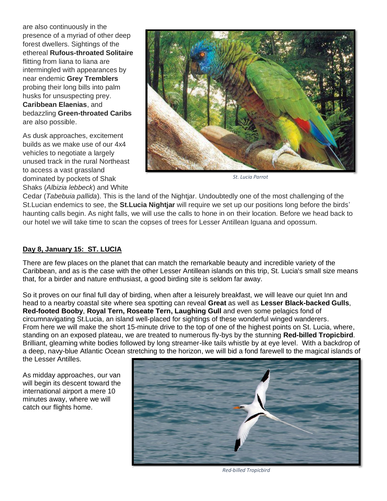are also continuously in the presence of a myriad of other deep forest dwellers. Sightings of the ethereal **Rufous-throated Solitaire** flitting from liana to liana are intermingled with appearances by near endemic **Grey Tremblers** probing their long bills into palm husks for unsuspecting prey. **Caribbean Elaenias**, and bedazzling **Green-throated Caribs** are also possible.

As dusk approaches, excitement builds as we make use of our 4x4 vehicles to negotiate a largely unused track in the rural Northeast to access a vast grassland dominated by pockets of Shak Shaks (*Albizia lebbeck*) and White



*St. Lucia Parrot*

Cedar (*Tabebuia pallida*). This is the land of the Nightjar. Undoubtedly one of the most challenging of the St.Lucian endemics to see, the **St.Lucia Nightjar** will require we set up our positions long before the birds' haunting calls begin. As night falls, we will use the calls to hone in on their location. Before we head back to our hotel we will take time to scan the copses of trees for Lesser Antillean Iguana and opossum.

#### **Day 8, January 15: ST. LUCIA**

There are few places on the planet that can match the remarkable beauty and incredible variety of the Caribbean, and as is the case with the other Lesser Antillean islands on this trip, St. Lucia's small size means that, for a birder and nature enthusiast, a good birding site is seldom far away.

So it proves on our final full day of birding, when after a leisurely breakfast, we will leave our quiet Inn and head to a nearby coastal site where sea spotting can reveal **Great** as well as **Lesser Black-backed Gulls**, **Red-footed Booby**, **Royal Tern, Roseate Tern, Laughing Gull** and even some pelagics fond of circumnavigating St.Lucia, an island well-placed for sightings of these wonderful winged wanderers. From here we will make the short 15-minute drive to the top of one of the highest points on St. Lucia, where, standing on an exposed plateau, we are treated to numerous fly-bys by the stunning **Red-billed Tropicbird**. Brilliant, gleaming white bodies followed by long streamer-like tails whistle by at eye level. With a backdrop of a deep, navy-blue Atlantic Ocean stretching to the horizon, we will bid a fond farewell to the magical islands of the Lesser Antilles.

As midday approaches, our van will begin its descent toward the international airport a mere 10 minutes away, where we will catch our flights home.



*Red-billed Tropicbird*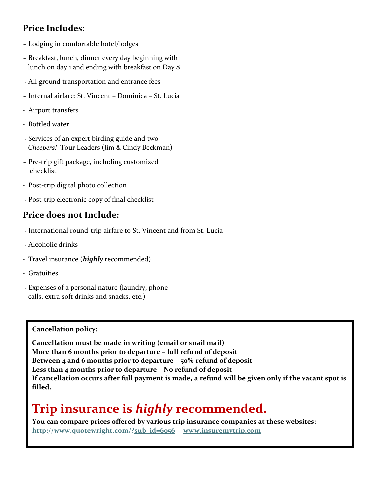### **Price Includes**:

- ~ Lodging in comfortable hotel/lodges
- ~ Breakfast, lunch, dinner every day beginning with lunch on day 1 and ending with breakfast on Day 8
- ~ All ground transportation and entrance fees
- ~ Internal airfare: St. Vincent Dominica St. Lucia
- ~ Airport transfers
- ~ Bottled water
- ~ Services of an expert birding guide and two *Cheepers!* Tour Leaders (Jim & Cindy Beckman)
- $\sim$  Pre-trip gift package, including customized checklist
- ~ Post-trip digital photo collection
- ~ Post-trip electronic copy of final checklist

## **Price does not Include:**

- ~ International round-trip airfare to St. Vincent and from St. Lucia
- ~ Alcoholic drinks
- ~ Travel insurance (*highly* recommended)
- ~ Gratuities
- ~ Expenses of a personal nature (laundry, phone calls, extra soft drinks and snacks, etc.)

#### **Cancellation policy:**

**Cancellation must be made in writing (email or snail mail) More than 6 months prior to departure – full refund of deposit Between 4 and 6 months prior to departure – 50% refund of deposit Less than 4 months prior to departure – No refund of deposit If cancellation occurs after full payment is made, a refund will be given only if the vacant spot is filled.** 

# **Trip insurance is** *highly* **recommended.**

**You can compare prices offered by various trip insurance companies at these websites: [http://www.quotewright.com/?sub\\_id=6056](http://www.quotewright.com/?sub_id=6056) www.insuremytrip.co[m](http://www.quotewright.com/?sub_id=6056)**